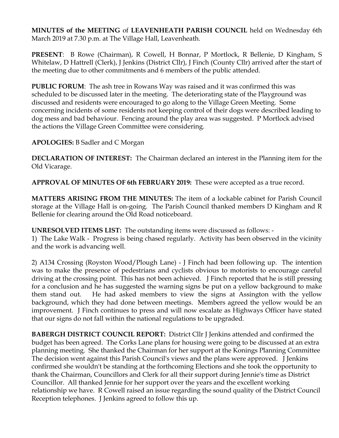**MINUTES of the MEETING** of **LEAVENHEATH PARISH COUNCIL** held on Wednesday 6th March 2019 at 7.30 p.m. at The Village Hall, Leavenheath.

**PRESENT**: B Rowe (Chairman), R Cowell, H Bonnar, P Mortlock, R Bellenie, D Kingham, S Whitelaw, D Hattrell (Clerk), J Jenkins (District Cllr), J Finch (County Cllr) arrived after the start of the meeting due to other commitments and 6 members of the public attended.

**PUBLIC FORUM**: The ash tree in Rowans Way was raised and it was confirmed this was scheduled to be discussed later in the meeting. The deteriorating state of the Playground was discussed and residents were encouraged to go along to the Village Green Meeting. Some concerning incidents of some residents not keeping control of their dogs were described leading to dog mess and bad behaviour. Fencing around the play area was suggested. P Mortlock advised the actions the Village Green Committee were considering.

## **APOLOGIES:** B Sadler and C Morgan

**DECLARATION OF INTEREST:** The Chairman declared an interest in the Planning item for the Old Vicarage.

**APPROVAL OF MINUTES OF 6th FEBRUARY 2019:** These were accepted as a true record.

**MATTERS ARISING FROM THE MINUTES:** The item of a lockable cabinet for Parish Council storage at the Village Hall is on-going. The Parish Council thanked members D Kingham and R Bellenie for clearing around the Old Road noticeboard.

**UNRESOLVED ITEMS LIST:** The outstanding items were discussed as follows: -

1) The Lake Walk - Progress is being chased regularly. Activity has been observed in the vicinity and the work is advancing well.

2) A134 Crossing (Royston Wood/Plough Lane) - J Finch had been following up. The intention was to make the presence of pedestrians and cyclists obvious to motorists to encourage careful driving at the crossing point. This has not been achieved. J Finch reported that he is still pressing for a conclusion and he has suggested the warning signs be put on a yellow background to make them stand out. He had asked members to view the signs at Assington with the yellow background, which they had done between meetings. Members agreed the yellow would be an improvement. J Finch continues to press and will now escalate as Highways Officer have stated that our signs do not fall within the national regulations to be upgraded.

**BABERGH DISTRICT COUNCIL REPORT:** District Cllr J Jenkins attended and confirmed the budget has been agreed. The Corks Lane plans for housing were going to be discussed at an extra planning meeting. She thanked the Chairman for her support at the Konings Planning Committee The decision went against this Parish Council's views and the plans were approved. J Jenkins confirmed she wouldn't be standing at the forthcoming Elections and she took the opportunity to thank the Chairman, Councillors and Clerk for all their support during Jennie's time as District Councillor. All thanked Jennie for her support over the years and the excellent working relationship we have. R Cowell raised an issue regarding the sound quality of the District Council Reception telephones. J Jenkins agreed to follow this up.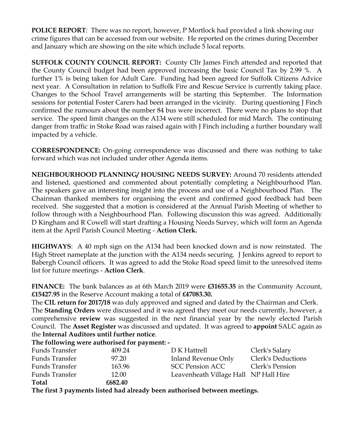**POLICE REPORT**: There was no report, however, P Mortlock had provided a link showing our crime figures that can be accessed from our website. He reported on the crimes during December and January which are showing on the site which include 5 local reports.

**SUFFOLK COUNTY COUNCIL REPORT:** County Cllr James Finch attended and reported that the County Council budget had been approved increasing the basic Council Tax by 2.99 %. A further 1% is being taken for Adult Care. Funding had been agreed for Suffolk Citizens Advice next year. A Consultation in relation to Suffolk Fire and Rescue Service is currently taking place. Changes to the School Travel arrangements will be starting this September. The Information sessions for potential Foster Carers had been arranged in the vicinity. During questioning J Finch confirmed the rumours about the number 84 bus were incorrect. There were no plans to stop that service. The speed limit changes on the A134 were still scheduled for mid March. The continuing danger from traffic in Stoke Road was raised again with J Finch including a further boundary wall impacted by a vehicle.

**CORRESPONDENCE:** On-going correspondence was discussed and there was nothing to take forward which was not included under other Agenda items.

**NEIGHBOURHOOD PLANNING/ HOUSING NEEDS SURVEY:** Around 70 residents attended and listened, questioned and commented about potentially completing a Neighbourhood Plan. The speakers gave an interesting insight into the process and use of a Neighbourhood Plan. The Chairman thanked members for organising the event and confirmed good feedback had been received. She suggested that a motion is considered at the Annual Parish Meeting of whether to follow through with a Neighbourhood Plan. Following discussion this was agreed. Additionally D Kingham and R Cowell will start drafting a Housing Needs Survey, which will form an Agenda item at the April Parish Council Meeting - **Action Clerk.**

**HIGHWAYS**: A 40 mph sign on the A134 had been knocked down and is now reinstated. The High Street nameplate at the junction with the A134 needs securing. J Jenkins agreed to report to Babergh Council officers. It was agreed to add the Stoke Road speed limit to the unresolved items list for future meetings - **Action Clerk**.

**FINANCE:** The bank balances as at 6th March 2019 were **£31655.35** in the Community Account, **£15427.95** in the Reserve Account making a total of **£47083.30.**

The **CIL return for 2017/18** was duly approved and signed and dated by the Chairman and Clerk. The **Standing Orders** were discussed and it was agreed they meet our needs currently, however, a comprehensive **review** was suggested in the next financial year by the newly elected Parish Council. The **Asset Register** was discussed and updated. It was agreed to **appoint** SALC again as the **Internal Auditors until further notice**.

|                       | The following were authorised for payment: - |                                       |                           |
|-----------------------|----------------------------------------------|---------------------------------------|---------------------------|
| <b>Funds Transfer</b> | 409.24                                       | D K Hattrell                          | Clerk's Salary            |
| Funds Transfer        | 97.20                                        | Inland Revenue Only                   | <b>Clerk's Deductions</b> |
| <b>Funds Transfer</b> | 163.96                                       | <b>SCC Pension ACC</b>                | Clerk's Pension           |
| Funds Transfer        | 12.00                                        | Leavenheath Village Hall NP Hall Hire |                           |
| <b>Total</b>          | £682.40                                      |                                       |                           |

**The first 3 payments listed had already been authorised between meetings.**